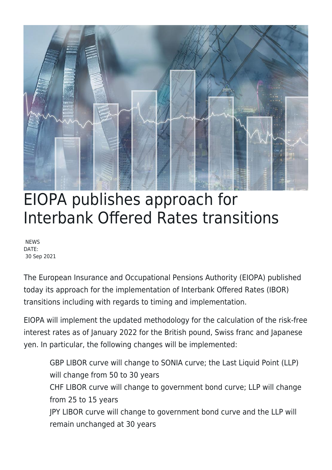

## EIOPA publishes approach for Interbank Offered Rates transitions

**NEWS** DATE: 30 Sep 2021

The European Insurance and Occupational Pensions Authority (EIOPA) published today its approach for the implementation of Interbank Offered Rates (IBOR) transitions including with regards to timing and implementation.

EIOPA will implement the updated methodology for the calculation of the risk-free interest rates as of January 2022 for the British pound, Swiss franc and Japanese yen. In particular, the following changes will be implemented:

GBP LIBOR curve will change to SONIA curve; the Last Liquid Point (LLP) will change from 50 to 30 years CHF LIBOR curve will change to government bond curve; LLP will change from 25 to 15 years JPY LIBOR curve will change to government bond curve and the LLP will remain unchanged at 30 years